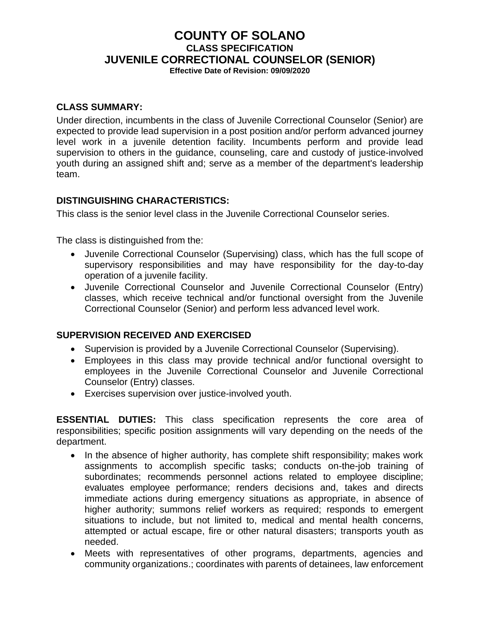# **COUNTY OF SOLANO CLASS SPECIFICATION JUVENILE CORRECTIONAL COUNSELOR (SENIOR)**

**Effective Date of Revision: 09/09/2020**

#### **CLASS SUMMARY:**

Under direction, incumbents in the class of Juvenile Correctional Counselor (Senior) are expected to provide lead supervision in a post position and/or perform advanced journey level work in a juvenile detention facility. Incumbents perform and provide lead supervision to others in the guidance, counseling, care and custody of justice-involved youth during an assigned shift and; serve as a member of the department's leadership team.

### **DISTINGUISHING CHARACTERISTICS:**

This class is the senior level class in the Juvenile Correctional Counselor series.

The class is distinguished from the:

- Juvenile Correctional Counselor (Supervising) class, which has the full scope of supervisory responsibilities and may have responsibility for the day-to-day operation of a juvenile facility.
- Juvenile Correctional Counselor and Juvenile Correctional Counselor (Entry) classes, which receive technical and/or functional oversight from the Juvenile Correctional Counselor (Senior) and perform less advanced level work.

### **SUPERVISION RECEIVED AND EXERCISED**

- Supervision is provided by a Juvenile Correctional Counselor (Supervising).
- Employees in this class may provide technical and/or functional oversight to employees in the Juvenile Correctional Counselor and Juvenile Correctional Counselor (Entry) classes.
- Exercises supervision over justice-involved youth.

**ESSENTIAL DUTIES:** This class specification represents the core area of responsibilities; specific position assignments will vary depending on the needs of the department.

- In the absence of higher authority, has complete shift responsibility; makes work assignments to accomplish specific tasks; conducts on-the-job training of subordinates; recommends personnel actions related to employee discipline; evaluates employee performance; renders decisions and, takes and directs immediate actions during emergency situations as appropriate, in absence of higher authority; summons relief workers as required; responds to emergent situations to include, but not limited to, medical and mental health concerns, attempted or actual escape, fire or other natural disasters; transports youth as needed.
- Meets with representatives of other programs, departments, agencies and community organizations.; coordinates with parents of detainees, law enforcement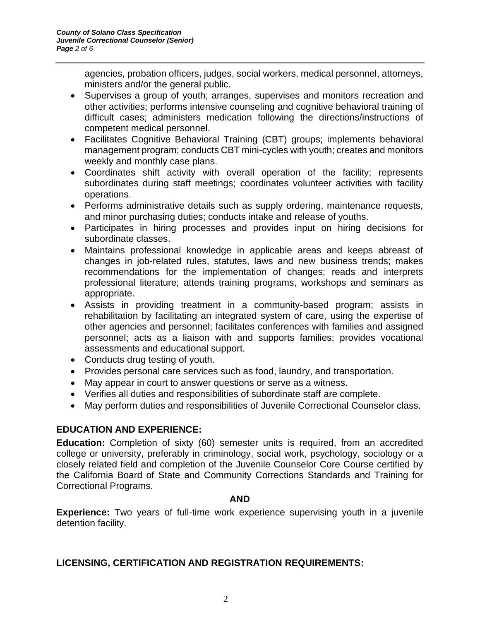agencies, probation officers, judges, social workers, medical personnel, attorneys, ministers and/or the general public.

- Supervises a group of youth; arranges, supervises and monitors recreation and other activities; performs intensive counseling and cognitive behavioral training of difficult cases; administers medication following the directions/instructions of competent medical personnel.
- Facilitates Cognitive Behavioral Training (CBT) groups; implements behavioral management program; conducts CBT mini-cycles with youth; creates and monitors weekly and monthly case plans.
- Coordinates shift activity with overall operation of the facility; represents subordinates during staff meetings; coordinates volunteer activities with facility operations.
- Performs administrative details such as supply ordering, maintenance requests, and minor purchasing duties; conducts intake and release of youths.
- Participates in hiring processes and provides input on hiring decisions for subordinate classes.
- Maintains professional knowledge in applicable areas and keeps abreast of changes in job-related rules, statutes, laws and new business trends; makes recommendations for the implementation of changes; reads and interprets professional literature; attends training programs, workshops and seminars as appropriate.
- Assists in providing treatment in a community-based program; assists in rehabilitation by facilitating an integrated system of care, using the expertise of other agencies and personnel; facilitates conferences with families and assigned personnel; acts as a liaison with and supports families; provides vocational assessments and educational support.
- Conducts drug testing of youth.
- Provides personal care services such as food, laundry, and transportation.
- May appear in court to answer questions or serve as a witness.
- Verifies all duties and responsibilities of subordinate staff are complete.
- May perform duties and responsibilities of Juvenile Correctional Counselor class.

### **EDUCATION AND EXPERIENCE:**

**Education:** Completion of sixty (60) semester units is required, from an accredited college or university, preferably in criminology, social work, psychology, sociology or a closely related field and completion of the Juvenile Counselor Core Course certified by the California Board of State and Community Corrections Standards and Training for Correctional Programs.

#### **AND**

**Experience:** Two years of full-time work experience supervising youth in a juvenile detention facility.

# **LICENSING, CERTIFICATION AND REGISTRATION REQUIREMENTS:**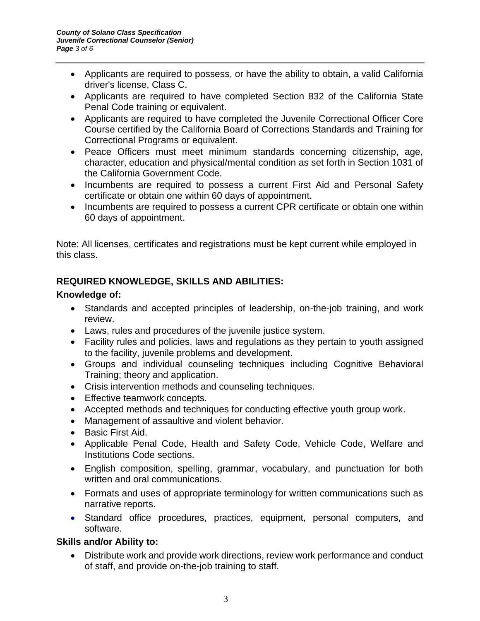- Applicants are required to possess, or have the ability to obtain, a valid California driver's license, Class C.
- Applicants are required to have completed Section 832 of the California State Penal Code training or equivalent.
- Applicants are required to have completed the Juvenile Correctional Officer Core Course certified by the California Board of Corrections Standards and Training for Correctional Programs or equivalent.
- Peace Officers must meet minimum standards concerning citizenship, age, character, education and physical/mental condition as set forth in Section 1031 of the California Government Code.
- Incumbents are required to possess a current First Aid and Personal Safety certificate or obtain one within 60 days of appointment.
- Incumbents are required to possess a current CPR certificate or obtain one within 60 days of appointment.

Note: All licenses, certificates and registrations must be kept current while employed in this class.

# **REQUIRED KNOWLEDGE, SKILLS AND ABILITIES:**

# **Knowledge of:**

- Standards and accepted principles of leadership, on-the-job training, and work review.
- Laws, rules and procedures of the juvenile justice system.
- Facility rules and policies, laws and regulations as they pertain to youth assigned to the facility, juvenile problems and development.
- Groups and individual counseling techniques including Cognitive Behavioral Training; theory and application.
- Crisis intervention methods and counseling techniques.
- Effective teamwork concepts.
- Accepted methods and techniques for conducting effective youth group work.
- Management of assaultive and violent behavior.
- Basic First Aid.
- Applicable Penal Code, Health and Safety Code, Vehicle Code, Welfare and Institutions Code sections.
- English composition, spelling, grammar, vocabulary, and punctuation for both written and oral communications.
- Formats and uses of appropriate terminology for written communications such as narrative reports.
- Standard office procedures, practices, equipment, personal computers, and software.

# **Skills and/or Ability to:**

• Distribute work and provide work directions, review work performance and conduct of staff, and provide on-the-job training to staff.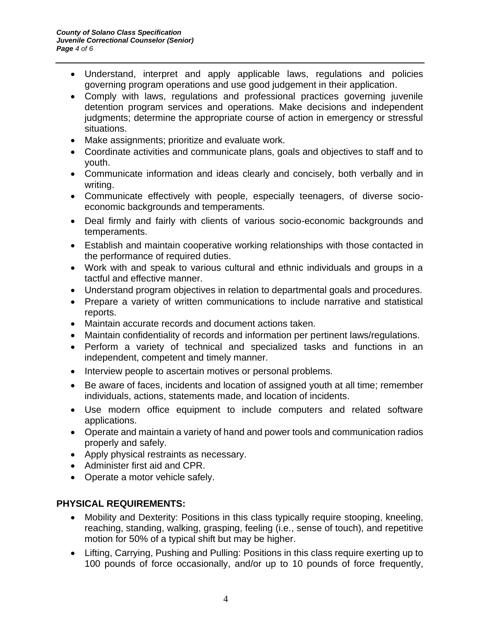- Understand, interpret and apply applicable laws, regulations and policies governing program operations and use good judgement in their application.
- Comply with laws, regulations and professional practices governing juvenile detention program services and operations. Make decisions and independent judgments; determine the appropriate course of action in emergency or stressful situations.
- Make assignments; prioritize and evaluate work.
- Coordinate activities and communicate plans, goals and objectives to staff and to youth.
- Communicate information and ideas clearly and concisely, both verbally and in writing.
- Communicate effectively with people, especially teenagers, of diverse socioeconomic backgrounds and temperaments.
- Deal firmly and fairly with clients of various socio-economic backgrounds and temperaments.
- Establish and maintain cooperative working relationships with those contacted in the performance of required duties.
- Work with and speak to various cultural and ethnic individuals and groups in a tactful and effective manner.
- Understand program objectives in relation to departmental goals and procedures.
- Prepare a variety of written communications to include narrative and statistical reports.
- Maintain accurate records and document actions taken.
- Maintain confidentiality of records and information per pertinent laws/regulations.
- Perform a variety of technical and specialized tasks and functions in an independent, competent and timely manner.
- Interview people to ascertain motives or personal problems.
- Be aware of faces, incidents and location of assigned youth at all time; remember individuals, actions, statements made, and location of incidents.
- Use modern office equipment to include computers and related software applications.
- Operate and maintain a variety of hand and power tools and communication radios properly and safely.
- Apply physical restraints as necessary.
- Administer first aid and CPR.
- Operate a motor vehicle safely.

# **PHYSICAL REQUIREMENTS:**

- Mobility and Dexterity: Positions in this class typically require stooping, kneeling, reaching, standing, walking, grasping, feeling (i.e., sense of touch), and repetitive motion for 50% of a typical shift but may be higher.
- Lifting, Carrying, Pushing and Pulling: Positions in this class require exerting up to 100 pounds of force occasionally, and/or up to 10 pounds of force frequently,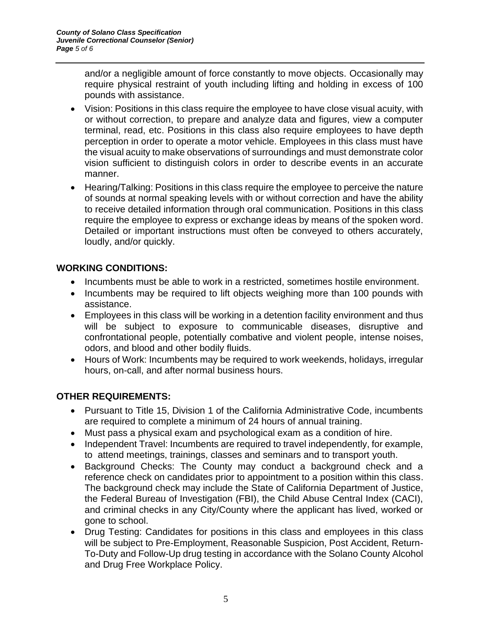and/or a negligible amount of force constantly to move objects. Occasionally may require physical restraint of youth including lifting and holding in excess of 100 pounds with assistance.

- Vision: Positions in this class require the employee to have close visual acuity, with or without correction, to prepare and analyze data and figures, view a computer terminal, read, etc. Positions in this class also require employees to have depth perception in order to operate a motor vehicle. Employees in this class must have the visual acuity to make observations of surroundings and must demonstrate color vision sufficient to distinguish colors in order to describe events in an accurate manner.
- Hearing/Talking: Positions in this class require the employee to perceive the nature of sounds at normal speaking levels with or without correction and have the ability to receive detailed information through oral communication. Positions in this class require the employee to express or exchange ideas by means of the spoken word. Detailed or important instructions must often be conveyed to others accurately, loudly, and/or quickly.

# **WORKING CONDITIONS:**

- Incumbents must be able to work in a restricted, sometimes hostile environment.
- Incumbents may be required to lift objects weighing more than 100 pounds with assistance.
- Employees in this class will be working in a detention facility environment and thus will be subject to exposure to communicable diseases, disruptive and confrontational people, potentially combative and violent people, intense noises, odors, and blood and other bodily fluids.
- Hours of Work: Incumbents may be required to work weekends, holidays, irregular hours, on-call, and after normal business hours.

# **OTHER REQUIREMENTS:**

- Pursuant to Title 15, Division 1 of the California Administrative Code, incumbents are required to complete a minimum of 24 hours of annual training.
- Must pass a physical exam and psychological exam as a condition of hire.
- Independent Travel: Incumbents are required to travel independently, for example, to attend meetings, trainings, classes and seminars and to transport youth.
- Background Checks: The County may conduct a background check and a reference check on candidates prior to appointment to a position within this class. The background check may include the State of California Department of Justice, the Federal Bureau of Investigation (FBI), the Child Abuse Central Index (CACI), and criminal checks in any City/County where the applicant has lived, worked or gone to school.
- Drug Testing: Candidates for positions in this class and employees in this class will be subject to Pre-Employment, Reasonable Suspicion, Post Accident, Return-To-Duty and Follow-Up drug testing in accordance with the Solano County Alcohol and Drug Free Workplace Policy.